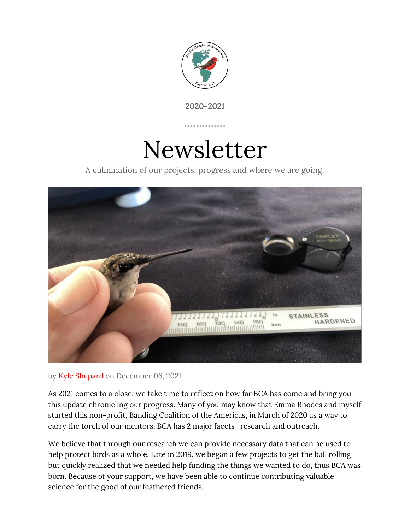

2020-2021

# Newsletter

A culmination of our projects, progress and where we are going.



by Kyle Shepard on December 06, 2021

As 2021 comes to a close, we take time to reflect on how far BCA has come and bring you this update chronicling our progress. Many of you may know that Emma Rhodes and myself started this non-profit, Banding Coalition of the Americas, in March of 2020 as a way to carry the torch of our mentors. BCA has 2 major facets- research and outreach.

We believe that through our research we can provide necessary data that can be used to help protect birds as a whole. Late in 2019, we began a few projects to get the ball rolling but quickly realized that we needed help funding the things we wanted to do, thus BCA was born. Because of your support, we have been able to continue contributing valuable science for the good of our feathered friends.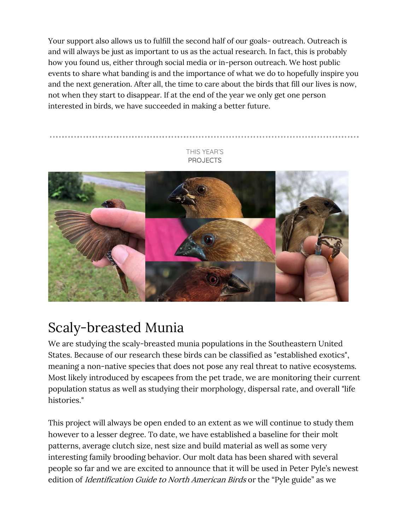Your support also allows us to fulfill the second half of our goals- outreach. Outreach is and will always be just as important to us as the actual research. In fact, this is probably how you found us, either through social media or in-person outreach. We host public events to share what banding is and the importance of what we do to hopefully inspire you and the next generation. After all, the time to care about the birds that fill our lives is now, not when they start to disappear. If at the end of the year we only get one person interested in birds, we have succeeded in making a better future.

#### THIS YEAR'S PROJECTS



# Scaly-breasted Munia

We are studying the scaly-breasted munia populations in the Southeastern United States. Because of our research these birds can be classified as "established exotics", meaning a non-native species that does not pose any real threat to native ecosystems. Most likely introduced by escapees from the pet trade, we are monitoring their current population status as well as studying their morphology, dispersal rate, and overall "life histories."

This project will always be open ended to an extent as we will continue to study them however to a lesser degree. To date, we have established a baseline for their molt patterns, average clutch size, nest size and build material as well as some very interesting family brooding behavior. Our molt data has been shared with several people so far and we are excited to announce that it will be used in Peter Pyle's newest edition of *Identification Guide to North American Birds* or the "Pyle guide" as we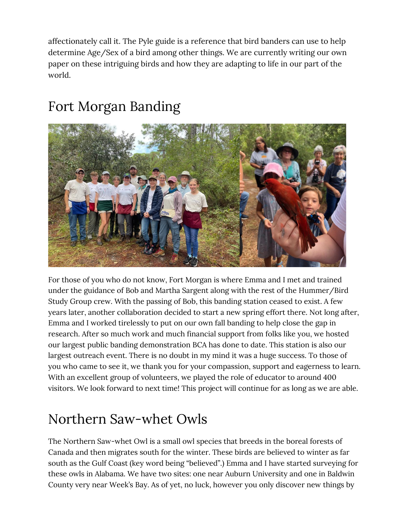affectionately call it. The Pyle guide is a reference that bird banders can use to help determine Age/Sex of a bird among other things. We are currently writing our own paper on these intriguing birds and how they are adapting to life in our part of the world.

### Fort Morgan Banding



For those of you who do not know, Fort Morgan is where Emma and I met and trained under the guidance of Bob and Martha Sargent along with the rest of the Hummer/Bird Study Group crew. With the passing of Bob, this banding station ceased to exist. A few years later, another collaboration decided to start a new spring effort there. Not long after, Emma and I worked tirelessly to put on our own fall banding to help close the gap in research. After so much work and much financial support from folks like you, we hosted our largest public banding demonstration BCA has done to date. This station is also our largest outreach event. There is no doubt in my mind it was a huge success. To those of you who came to see it, we thank you for your compassion, support and eagerness to learn. With an excellent group of volunteers, we played the role of educator to around 400 visitors. We look forward to next time! This project will continue for as long as we are able.

# Northern Saw-whet Owls

The Northern Saw-whet Owl is a small owl species that breeds in the boreal forests of Canada and then migrates south for the winter. These birds are believed to winter as far south as the Gulf Coast (key word being "believed".) Emma and I have started surveying for these owls in Alabama. We have two sites: one near Auburn University and one in Baldwin County very near Week's Bay. As of yet, no luck, however you only discover new things by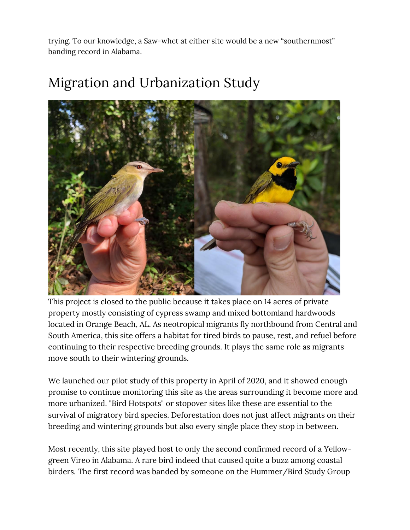trying. To our knowledge, a Saw-whet at either site would be a new "southernmost" banding record in Alabama.

#### Migration and Urbanization Study



This project is closed to the public because it takes place on 14 acres of private property mostly consisting of cypress swamp and mixed bottomland hardwoods located in Orange Beach, AL. As neotropical migrants fly northbound from Central and South America, this site offers a habitat for tired birds to pause, rest, and refuel before continuing to their respective breeding grounds. It plays the same role as migrants move south to their wintering grounds.

We launched our pilot study of this property in April of 2020, and it showed enough promise to continue monitoring this site as the areas surrounding it become more and more urbanized. "Bird Hotspots" or stopover sites like these are essential to the survival of migratory bird species. Deforestation does not just affect migrants on their breeding and wintering grounds but also every single place they stop in between.

Most recently, this site played host to only the second confirmed record of a Yellowgreen Vireo in Alabama. A rare bird indeed that caused quite a buzz among coastal birders. The first record was banded by someone on the Hummer/Bird Study Group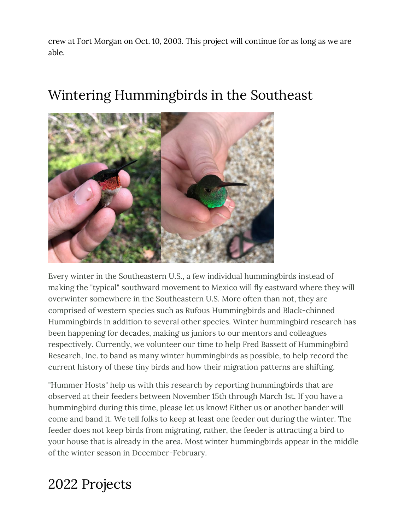crew at Fort Morgan on Oct. 10, 2003. This project will continue for as long as we are able.

#### Wintering Hummingbirds in the Southeast



Every winter in the Southeastern U.S., a few individual hummingbirds instead of making the "typical" southward movement to Mexico will fly eastward where they will overwinter somewhere in the Southeastern U.S. More often than not, they are comprised of western species such as Rufous Hummingbirds and Black-chinned Hummingbirds in addition to several other species. Winter hummingbird research has been happening for decades, making us juniors to our mentors and colleagues respectively. Currently, we volunteer our time to help Fred Bassett of Hummingbird Research, Inc. to band as many winter hummingbirds as possible, to help record the current history of these tiny birds and how their migration patterns are shifting.

"Hummer Hosts" help us with this research by reporting hummingbirds that are observed at their feeders between November 15th through March 1st. If you have a hummingbird during this time, please let us know! Either us or another bander will come and band it. We tell folks to keep at least one feeder out during the winter. The feeder does not keep birds from migrating, rather, the feeder is attracting a bird to your house that is already in the area. Most winter hummingbirds appear in the middle of the winter season in December-February.

#### 2022 Projects